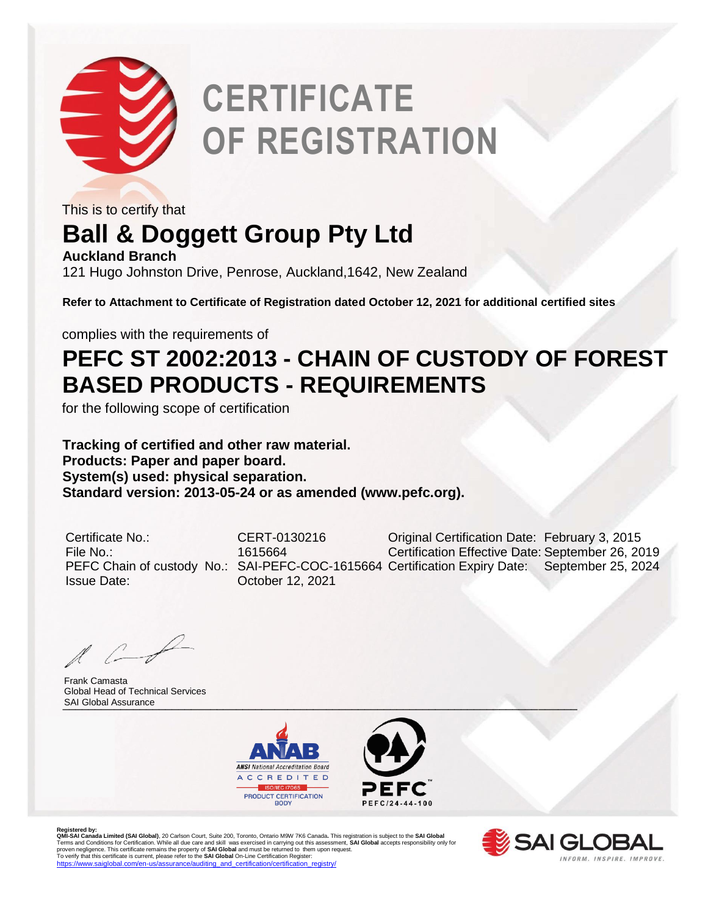

# **CERTIFICATE OF REGISTRATION**

This is to certify that

### **Ball & Doggett Group Pty Ltd**

**Auckland Branch** 121 Hugo Johnston Drive, Penrose, Auckland,1642, New Zealand

**Refer to Attachment to Certificate of Registration dated October 12, 2021 for additional certified sites**

complies with the requirements of

#### **PEFC ST 2002:2013 - CHAIN OF CUSTODY OF FOREST BASED PRODUCTS - REQUIREMENTS**

for the following scope of certification

**Tracking of certified and other raw material. Products: Paper and paper board. System(s) used: physical separation. Standard version: 2013-05-24 or as amended (www.pefc.org).** 

Issue Date: October 12, 2021

Certificate No.: CERT-0130216 Original Certification Date: February 3, 2015 File No.: 1615664 Certification Effective Date: September 26, 2019 PEFC Chain of custody No.: SAI-PEFC-COC-1615664 Certification Expiry Date: September 25, 2024

\_\_\_\_\_\_\_\_\_\_\_\_\_\_\_\_\_\_\_\_\_\_\_\_\_\_\_\_\_\_\_\_\_\_\_\_\_\_\_\_\_\_\_\_\_\_\_\_\_\_\_\_\_\_\_\_\_\_\_\_\_\_\_\_\_\_\_\_\_\_\_\_\_\_\_\_\_\_\_\_ SAI Global AssuranceFrank Camasta Global Head of Technical Services





Registered by:<br>**QMI-SA Landa Limited (SAI Global)**, 20 Carlson Court, Suite 200, Toronto, Ontario M9W 7K6 Canada. This registration is subject to the **SAI Global**<br>Terms and Conditions for Certification. While all due care